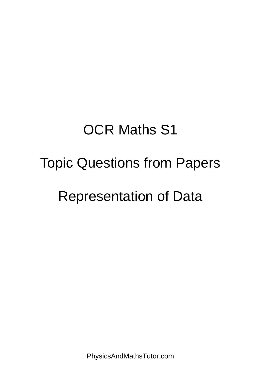# OCR Maths S1

### Topic Questions from Papers

## Representation of Data

PhysicsAndMathsTutor.com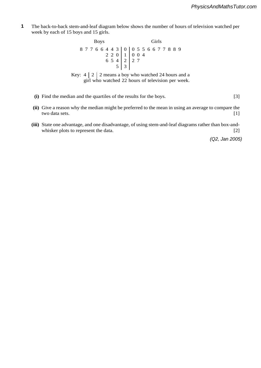**2** The back-to-back stem-and-leaf diagram below shows the number of hours of television watched per week by each of 15 boys and 15 girls. **1**

> Boys Girls 87766443 0 0556677889 220 1 004 654 2 2 7  $5 \mid 3$

Key:  $4 \mid 2 \mid 2$  means a boy who watched 24 hours and a girl who watched 22 hours of television per week.

- **(i)** Find the median and the quartiles of the results for the boys. [3]
- **(ii)** Give a reason why the median might be preferred to the mean in using an average to compare the two data sets. [1]
- **(iii)** State one advantage, and one disadvantage, of using stem-and-leaf diagrams rather than box-andwhisker plots to represent the data. [2]

*(Q2, Jan 2005)*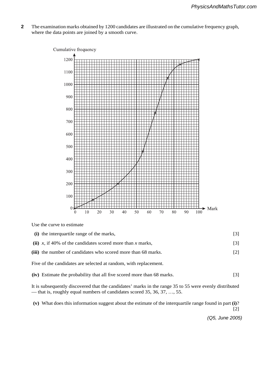**5** The examination marks obtained by 1200 candidates are illustrated on the cumulative frequency graph, where the data points are joined by a smooth curve. **2**



Use the curve to estimate

| (i) the interquartile range of the marks,                        | 131 |
|------------------------------------------------------------------|-----|
| (ii) x, if 40% of the candidates scored more than x marks,       | [3] |
| (iii) the number of candidates who scored more than 68 marks.    | [2] |
| Five of the candidates are selected at random, with replacement. |     |

**(iv)** Estimate the probability that all five scored more than 68 marks. [3]

It is subsequently discovered that the candidates' marks in the range 35 to 55 were evenly distributed — that is, roughly equal numbers of candidates scored 35, 36, 37, …, 55.

**(v)** What does this information suggest about the estimate of the interquartile range found in part **(i)**?

[2]

*(Q5, June 2005)*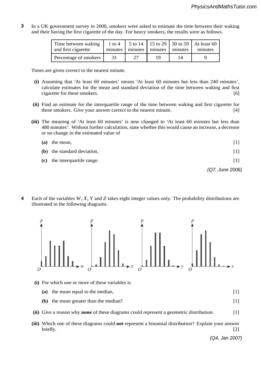**7** In a UK government survey in 2000, smokers were asked to estimate the time between their waking and their having the first cigarette of the day. For heavy smokers, the results were as follows. **3**

| Time between waking<br>and first cigarette | $1$ to $4$ |    | minutes   minutes   minutes   minutes |    | $\vert$ 5 to 14   15 to 29   30 to 59   At least 60<br>minutes |
|--------------------------------------------|------------|----|---------------------------------------|----|----------------------------------------------------------------|
| Percentage of smokers                      | 31         | 27 | 19                                    | 14 |                                                                |

Times are given correct to the nearest minute.

- **(i)** Assuming that 'At least 60 minutes' means 'At least 60 minutes but less than 240 minutes', calculate estimates for the mean and standard deviation of the time between waking and first cigarette for these smokers. [6]
- **(ii)** Find an estimate for the interquartile range of the time between waking and first cigarette for these smokers. Give your answer correct to the nearest minute. [4]
- **(iii)** The meaning of 'At least 60 minutes' is now changed to 'At least 60 minutes but less than 480 minutes'. Without further calculation, state whether this would cause an increase, a decrease or no change in the estimated value of

|     |                              | (Q7, June 2006) |
|-----|------------------------------|-----------------|
|     | (c) the interquartile range. | [1]             |
|     | (b) the standard deviation,  | 111             |
| (a) | the mean,                    |                 |

**8 August 12 Mei 12 Mei 12 Mei 12 Mei 12 Mei 12 Mei 12 Mei 12 Mei 12 Mei 12 Mei 12 Mei 12 Mei 12 Mei 12 Mei 12 Mei 12 Mei 12 Mei 12 Mei 12 Mei 12 Mei 12 Mei 12 Mei 12 Mei 12 Mei 12 Mei 12 Mei 12 Mei 12 Mei 12 Mei 12 Mei** 

4 Each of the variables  $W, X, Y$  and Z takes eight integer values only. The probability distributions are illustrated in the following diagrams. **4**



- **(i)** For which one or more of these variables is
	- **(a)** the mean equal to the median, [1]
	- **(b)** the mean greater than the median? [1]
- **(ii)** Give a reason why **none** of these diagrams could represent a geometric distribution. [1]
- **(iii)** Which one of these diagrams could **not** represent a binomial distribution? Explain your answer briefly. [2]

*(Q4, Jan 2007)*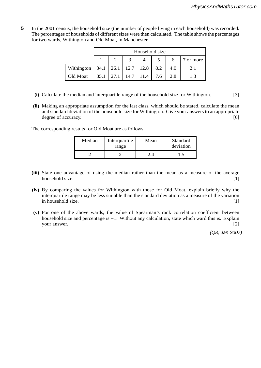**8** In the 2001 census, the household size (the number of people living in each household) was recorded. The percentages of households of different sizes were then calculated. The table shows the percentages for two wards, Withington and Old Moat, in Manchester. **5**

|                         | Household size |      |                      |      |     |     |         |  |
|-------------------------|----------------|------|----------------------|------|-----|-----|---------|--|
|                         |                |      |                      |      |     |     | or more |  |
| Withington $\vert$ 34.1 |                |      | $26.1$   12.7   12.8 |      | 8.2 | 4.0 | 2.1     |  |
| Old Moat                | 35.1           | 27.1 | 14.7                 | 11.4 | 7.6 | 2.8 |         |  |

- **(i)** Calculate the median and interquartile range of the household size for Withington. [3]
- **(ii)** Making an appropriate assumption for the last class, which should be stated, calculate the mean and standard deviation of the household size for Withington. Give your answers to an appropriate degree of accuracy. [6]

The corresponding results for Old Moat are as follows.

| Median | Interquartile<br>range | Mean | Standard<br>deviation |
|--------|------------------------|------|-----------------------|
|        |                        |      |                       |

- **(iii)** State one advantage of using the median rather than the mean as a measure of the average household size. [1] [1]
- **(iv)** By comparing the values for Withington with those for Old Moat, explain briefly why the interquartile range may be less suitable than the standard deviation as a measure of the variation in household size. [1]
- **(v)** For one of the above wards, the value of Spearman's rank correlation coefficient between household size and percentage is −1. Without any calculation, state which ward this is. Explain your answer. [2] your answer.

*(Q8, Jan 2007)*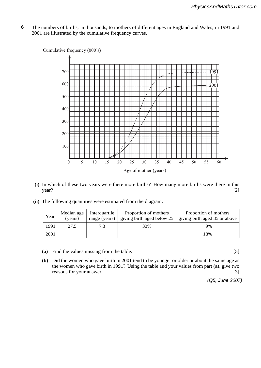**5** The numbers of births, in thousands, to mothers of different ages in England and Wales, in 1991 and 2001 are illustrated by the cumulative frequency curves. **6**



- **(i)** In which of these two years were there more births? How many more births were there in this year? [2]
- **(ii)** The following quantities were estimated from the diagram.

| Year | Median age<br>(years) | Interquartile<br>range (years) | Proportion of mothers<br>giving birth aged below 25 | Proportion of mothers<br>giving birth aged 35 or above |
|------|-----------------------|--------------------------------|-----------------------------------------------------|--------------------------------------------------------|
| 1991 | 27.5                  | 7.3                            | 33%                                                 | 9%                                                     |
| 2001 |                       |                                |                                                     | 18%                                                    |

**(a)** Find the values missing from the table. [5]

**(b)** Did the women who gave birth in 2001 tend to be younger or older or about the same age as the women who gave birth in 1991? Using the table and your values from part **(a)**, give two reasons for your answer. [3]

*(Q5, June 2007)*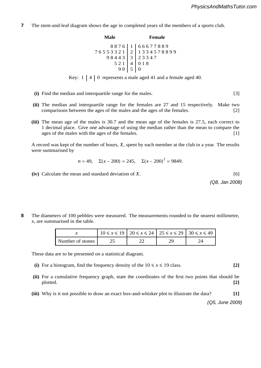- **8** The stem-and-leaf diagram shows the age in completed years of the members of a sports club. **7**
	- **Male Female** 8876 1 66677889 76553321 2 1334578899 98443 3 23347 521 4 018  $90 \mid 5 \mid 0$

Key:  $1 \mid 4 \mid 0$  represents a male aged 41 and a female aged 40.

- **(i)** Find the median and interquartile range for the males. [3]
- **(ii)** The median and interquartile range for the females are 27 and 15 respectively. Make two comparisons between the ages of the males and the ages of the females. [2]
- **(iii)** The mean age of the males is 30.7 and the mean age of the females is 27.5, each correct to 1 decimal place. Give one advantage of using the median rather than the mean to compare the ages of the males with the ages of the females. [1]

#### physicsandmathstutor.com

A record was kept of the number of hours,  $\overline{X}$ , spent by each member at the club in a year. The results were summarised by were summarised by

$$
n = 49
$$
,  $\Sigma(x - 200) = 245$ ,  $\Sigma(x - 200)^2 = 9849$ .

 $(iv)$  Calculate the mean and standard deviation of *X*.  $[6]$ 

*(Q8, Jan 2008) (Q8. Jan 200)* 

**5** The diameters of 100 pebbles were measured. The measurements rounded to the nearest millimetre, *x*, are summarised in the table. **8**

|                  | $10 \le x \le 19$ $20 \le x \le 24$ $25 \le x \le 29$ $30 \le x \le 49$ |  |  |
|------------------|-------------------------------------------------------------------------|--|--|
| Number of stones |                                                                         |  |  |

These data are to be presented on a statistical diagram.

- **(i)** For a histogram, find the frequency density of the  $10 \le x \le 19$  class. **[2]**
- **(ii)** For a cumulative frequency graph, state the coordinates of the first two points that should be plotted. **[2]**
- **(iii)** Why is it not possible to draw an exact box-and-whisker plot to illustrate the data? **[1]**

*(Q5, June 2009)*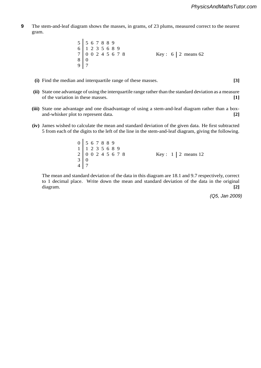**5** The stem-and-leaf diagram shows the masses, in grams, of 23 plums, measured correct to the nearest gram. **9**

> 5 567889  $\begin{array}{|c|c|c|c|c|c|}\n6 & 1 & 2 & 3 & 5 & 6 & 8 & 9 \\
> 7 & 0 & 0 & 2 & 4 & 5 & 6 & 7 & 8 \\
> \end{array}$  $Key: 6 | 2 means 62$  $8 | 0$ 9 7

- **(i)** Find the median and interquartile range of these masses. **[3]**
- **(ii)** State one advantage of using the interquartile range rather than the standard deviation as a measure of the variation in these masses. **[1]**
- **(iii)** State one advantage and one disadvantage of using a stem-and-leaf diagram rather than a boxand-whisker plot to represent data. **[2]**
- **(iv)** James wished to calculate the mean and standard deviation of the given data. He first subtracted 5 from each of the digits to the left of the line in the stem-and-leaf diagram, giving the following.

0 567889  $\begin{array}{|c|c|c|c|c|c|}\n1 & 1 & 2 & 3 & 5 & 6 & 8 & 9 \\
2 & 0 & 0 & 2 & 4 & 5 & 6 & 7 & 8\n\end{array}$ 2 0 0 2 4 5 6 7 8 Key : 1 2 means 12  $3 | 0$ 4 7

The mean and standard deviation of the data in this diagram are 18.1 and 9.7 respectively, correct to 1 decimal place. Write down the mean and standard deviation of the data in the original diagram. **[2]**

*(Q5, Jan 2009)*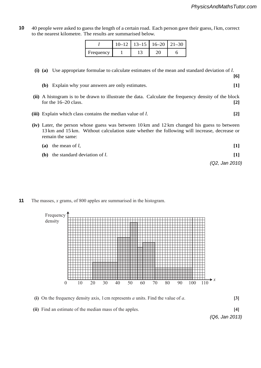**[6]**

**2** 40 people were asked to guess the length of a certain road. Each person gave their guess, *l* km, correct to the nearest kilometre. The results are summarised below. **10**

|           |  | $10-12$   $13-15$   $16-20$   $21-30$ |  |
|-----------|--|---------------------------------------|--|
| Frequency |  |                                       |  |

#### **(i) (a)** Use appropriate formulae to calculate estimates of the mean and standard deviation of *l*.

- **(b)** Explain why your answers are only estimates. **[1]**
- (ii) A histogram is to be drawn to illustrate the data. Calculate the frequency density of the block for the 16–20 class. **[2]** physicsandmathstutor.com
- **(iii)** Explain which class contains the median value of *l*. **[2]**
- **(iv)** Later, the person whose guess was between 10 km and 12 km changed his guess to between 13 km and 15 km. Without calculation state whether the following will increase, decrease or remain the same:
- (a) the mean of  $l$ ,  $[1]$ **(b)** the standard deviation of *l*. **[1]** *(Q2, Jan 2010)* **(b)** the standard deviation of *I*. [1]<br>(Q2, Jan 2010). The probability that the probability that the probability of  $\frac{1}{2}$
- The masses,  $x$  grams, of 800 apples are summarised in the histogram. **11**



- **(i)** On the frequency density axis, 1 cm represents *a* units. Find the value of *a*. **[3]**
- **(ii)** Find an estimate of the median mass of the apples. **[4]**

*(Q6, Jan 2013)*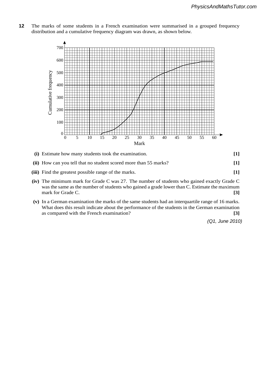The marks of some students in a French examination were summarised in a grouped frequency distribution and a cumulative frequency diagram was drawn, as shown below. **12**



- **(i)** Estimate how many students took the examination. **[1]**
- **(ii)** How can you tell that no student scored more than 55 marks? **[1]**
- **(iii)** Find the greatest possible range of the marks. **[1]**
- **(iv)** The minimum mark for Grade C was 27. The number of students who gained exactly Grade C was the same as the number of students who gained a grade lower than C. Estimate the maximum mark for Grade C. **[3]**
- **(v)** In a German examination the marks of the same students had an interquartile range of 16 marks. What does this result indicate about the performance of the students in the German examination as compared with the French examination? **[3]**

*(Q1, June 2010)*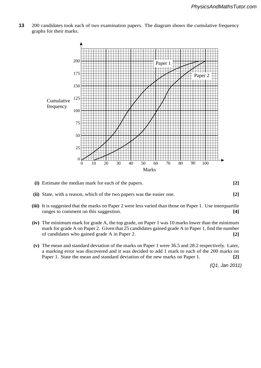**1** 200 candidates took each of two examination papers. The diagram shows the cumulative frequency graphs for their marks. **13**



- **(i)** Estimate the median mark for each of the papers. **[2]**
- **(ii)** State, with a reason, which of the two papers was the easier one. **[2]**
- **(iii)** It is suggested that the marks on Paper 2 were less varied than those on Paper 1. Use interquartile ranges to comment on this suggestion. **[4]**
- **(iv)** The minimum mark for grade A, the top grade, on Paper 1 was 10 marks lower than the minimum mark for grade A on Paper 2. Given that 25 candidates gained grade A in Paper 1, find the number of candidates who gained grade A in Paper 2. **[2]**
- **(v)** The mean and standard deviation of the marks on Paper 1 were 36.5 and 28.2 respectively. Later, a marking error was discovered and it was decided to add 1 mark to each of the 200 marks on Paper 1. State the mean and standard deviation of the new marks on Paper 1. **[2]**

*(Q1, Jan 2011)*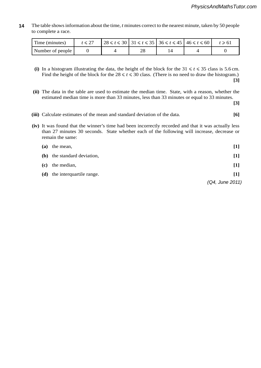**4** The table shows information about the time, *t* minutes correct to the nearest minute, taken by 50 people to complete a race. **14**

| Time (minutes)   | $ 28 \le t \le 30$   $31 \le t \le 35$   $36 \le t \le 45$   $46 \le t \le 60$ |  | $t \geq 61$ |
|------------------|--------------------------------------------------------------------------------|--|-------------|
| Number of people |                                                                                |  |             |

- (i) In a histogram illustrating the data, the height of the block for the  $31 \le t \le 35$  class is 5.6 cm. Find the height of the block for the  $28 \le t \le 30$  class. (There is no need to draw the histogram.) **[3]**
- **(ii)** The data in the table are used to estimate the median time. State, with a reason, whether the estimated median time is more than 33 minutes, less than 33 minutes or equal to 33 minutes.

**[3]**

- **(iii)** Calculate estimates of the mean and standard deviation of the data. **[6]**
- **(iv)** It was found that the winner's time had been incorrectly recorded and that it was actually less than 27 minutes 30 seconds. State whether each of the following will increase, decrease or remain the same:

| (a) | the mean,                | $[1]$             |
|-----|--------------------------|-------------------|
| (b) | the standard deviation,  | $[1]$             |
| (c) | the median,              | $[1]$             |
| (d) | the interquartile range. | $\lceil 1 \rceil$ |
|     |                          | (Q4, June 2011)   |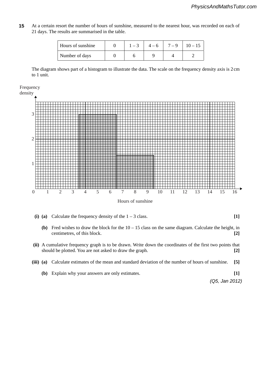**5** At a certain resort the number of hours of sunshine, measured to the nearest hour, was recorded on each of 21 days. The results are summarised in the table. **15**

| Hours of sunshine | $1 - 3$ | $4 - 6$ | $7 - 9$ | $10 - 15$ |
|-------------------|---------|---------|---------|-----------|
| Number of days    |         |         |         |           |

The diagram shows part of a histogram to illustrate the data. The scale on the frequency density axis is 2 cm to 1 unit.

Frequency



- **(i)** (a) Calculate the frequency density of the  $1 3$  class. **[1]** 
	- **(b)** Fred wishes to draw the block for the  $10 15$  class on the same diagram. Calculate the height, in centimetres, of this block. **[2]**
- **(ii)** A cumulative frequency graph is to be drawn. Write down the coordinates of the first two points that should be plotted. You are not asked to draw the graph. **[2]**
- **(iii) (a)** Calculate estimates of the mean and standard deviation of the number of hours of sunshine. **[5]**
	- **(b)** Explain why your answers are only estimates. **[1]**

*(Q5, Jan 2012)*